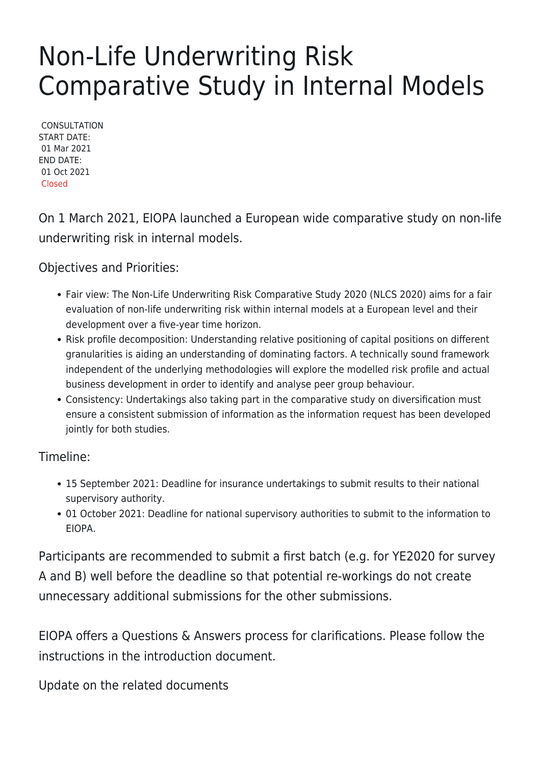## Non-Life Underwriting Risk Comparative Study in Internal Models

**CONSULTATION** START DATE: 01 Mar 2021 END DATE: 01 Oct 2021 Closed

On 1 March 2021, EIOPA launched a European wide comparative study on non-life underwriting risk in internal models.

Objectives and Priorities:

- Fair view: The Non-Life Underwriting Risk Comparative Study 2020 (NLCS 2020) aims for a fair evaluation of non-life underwriting risk within internal models at a European level and their development over a five-year time horizon.
- Risk profile decomposition: Understanding relative positioning of capital positions on different granularities is aiding an understanding of dominating factors. A technically sound framework independent of the underlying methodologies will explore the modelled risk profile and actual business development in order to identify and analyse peer group behaviour.
- Consistency: Undertakings also taking part in the comparative study on diversification must ensure a consistent submission of information as the information request has been developed jointly for both studies.

Timeline:

- 15 September 2021: Deadline for insurance undertakings to submit results to their national supervisory authority.
- 01 October 2021: Deadline for national supervisory authorities to submit to the information to EIOPA.

Participants are recommended to submit a first batch (e.g. for YE2020 for survey A and B) well before the deadline so that potential re-workings do not create unnecessary additional submissions for the other submissions.

EIOPA offers a Questions & Answers process for clarifications. Please follow the instructions in the introduction document.

Update on the related documents